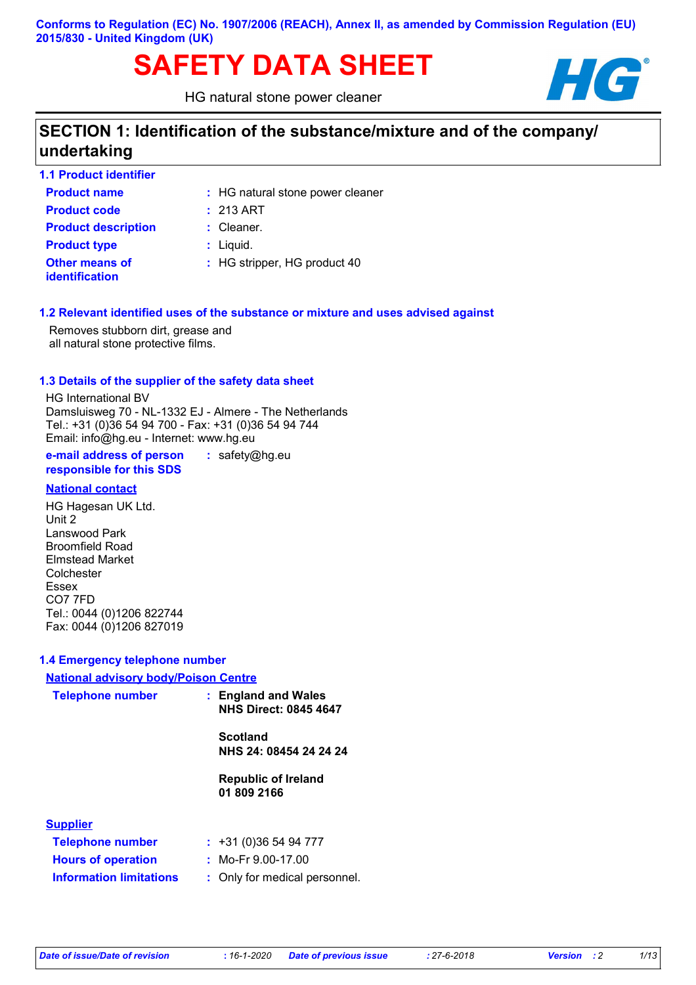**Conforms to Regulation (EC) No. 1907/2006 (REACH), Annex II, as amended by Commission Regulation (EU) 2015/830 - United Kingdom (UK)**

# SAFETY DATA SHEET **HG**

HG natural stone power cleaner



# **SECTION 1: Identification of the substance/mixture and of the company/ undertaking**

| <b>1.1 Product identifier</b>           |                                  |
|-----------------------------------------|----------------------------------|
| <b>Product name</b>                     | : HG natural stone power cleaner |
| <b>Product code</b>                     | $: 213$ ART                      |
| <b>Product description</b>              | $:$ Cleaner.                     |
| <b>Product type</b>                     | $:$ Liquid.                      |
| Other means of<br><b>identification</b> | : HG stripper, HG product 40     |

#### **1.2 Relevant identified uses of the substance or mixture and uses advised against**

Removes stubborn dirt, grease and all natural stone protective films.

#### **1.3 Details of the supplier of the safety data sheet**

HG International BV Damsluisweg 70 - NL-1332 EJ - Almere - The Netherlands Tel.: +31 (0)36 54 94 700 - Fax: +31 (0)36 54 94 744 Email: info@hg.eu - Internet: www.hg.eu

**e-mail address of person responsible for this SDS :** safety@hg.eu

#### **National contact**

HG Hagesan UK Ltd. Unit 2 Lanswood Park Broomfield Road Elmstead Market **Colchester** Essex CO7 7FD Tel.: 0044 (0)1206 822744 Fax: 0044 (0)1206 827019

#### **1.4 Emergency telephone number**

#### **National advisory body/Poison Centre**

| <b>Telephone number</b>        | : England and Wales<br><b>NHS Direct: 0845 4647</b> |
|--------------------------------|-----------------------------------------------------|
|                                | <b>Scotland</b><br>NHS 24: 08454 24 24 24           |
|                                | <b>Republic of Ireland</b><br>01 809 2166           |
| <b>Supplier</b>                |                                                     |
| <b>Telephone number</b>        | $: +31(0)365494777$                                 |
| <b>Hours of operation</b>      | : Mo-Fr $9.00-17.00$                                |
| <b>Information limitations</b> | : Only for medical personnel.                       |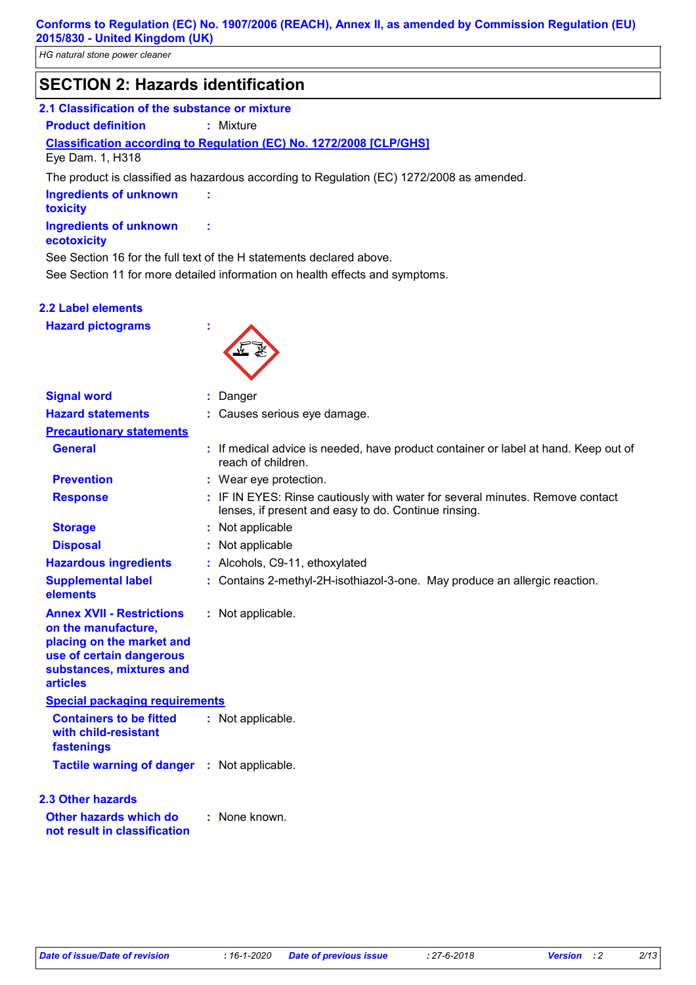# **SECTION 2: Hazards identification**

#### **2.1 Classification of the substance or mixture**

**Product definition :** Mixture

### **Classification according to Regulation (EC) No. 1272/2008 [CLP/GHS]**

Eye Dam. 1, H318

The product is classified as hazardous according to Regulation (EC) 1272/2008 as amended.

| <b>Ingredients of unknown</b> |  |
|-------------------------------|--|
| toxicity                      |  |
| Ingredients of unknown        |  |

#### **ecotoxicity**

See Section 16 for the full text of the H statements declared above.

See Section 11 for more detailed information on health effects and symptoms.

#### **2.2 Label elements**

**Hazard pictograms :**



| <b>Signal word</b>                                                                                                                                              |  | : Danger                                                                                                                              |  |  |
|-----------------------------------------------------------------------------------------------------------------------------------------------------------------|--|---------------------------------------------------------------------------------------------------------------------------------------|--|--|
| <b>Hazard statements</b>                                                                                                                                        |  | : Causes serious eye damage.                                                                                                          |  |  |
| <b>Precautionary statements</b>                                                                                                                                 |  |                                                                                                                                       |  |  |
| <b>General</b>                                                                                                                                                  |  | : If medical advice is needed, have product container or label at hand. Keep out of<br>reach of children.                             |  |  |
| <b>Prevention</b>                                                                                                                                               |  | : Wear eye protection.                                                                                                                |  |  |
| <b>Response</b>                                                                                                                                                 |  | : IF IN EYES: Rinse cautiously with water for several minutes. Remove contact<br>lenses, if present and easy to do. Continue rinsing. |  |  |
| <b>Storage</b>                                                                                                                                                  |  | : Not applicable                                                                                                                      |  |  |
| <b>Disposal</b>                                                                                                                                                 |  | Not applicable                                                                                                                        |  |  |
| <b>Hazardous ingredients</b>                                                                                                                                    |  | : Alcohols, C9-11, ethoxylated                                                                                                        |  |  |
| <b>Supplemental label</b><br>elements                                                                                                                           |  | : Contains 2-methyl-2H-isothiazol-3-one. May produce an allergic reaction.                                                            |  |  |
| <b>Annex XVII - Restrictions</b><br>on the manufacture,<br>placing on the market and<br>use of certain dangerous<br>substances, mixtures and<br><b>articles</b> |  | : Not applicable.                                                                                                                     |  |  |
| <b>Special packaging requirements</b>                                                                                                                           |  |                                                                                                                                       |  |  |
| <b>Containers to be fitted</b><br>with child-resistant<br>fastenings                                                                                            |  | : Not applicable.                                                                                                                     |  |  |
| Tactile warning of danger : Not applicable.                                                                                                                     |  |                                                                                                                                       |  |  |
| <b>2.3 Other hazards</b><br>Other hazards which do<br>not result in classification                                                                              |  | : None known.                                                                                                                         |  |  |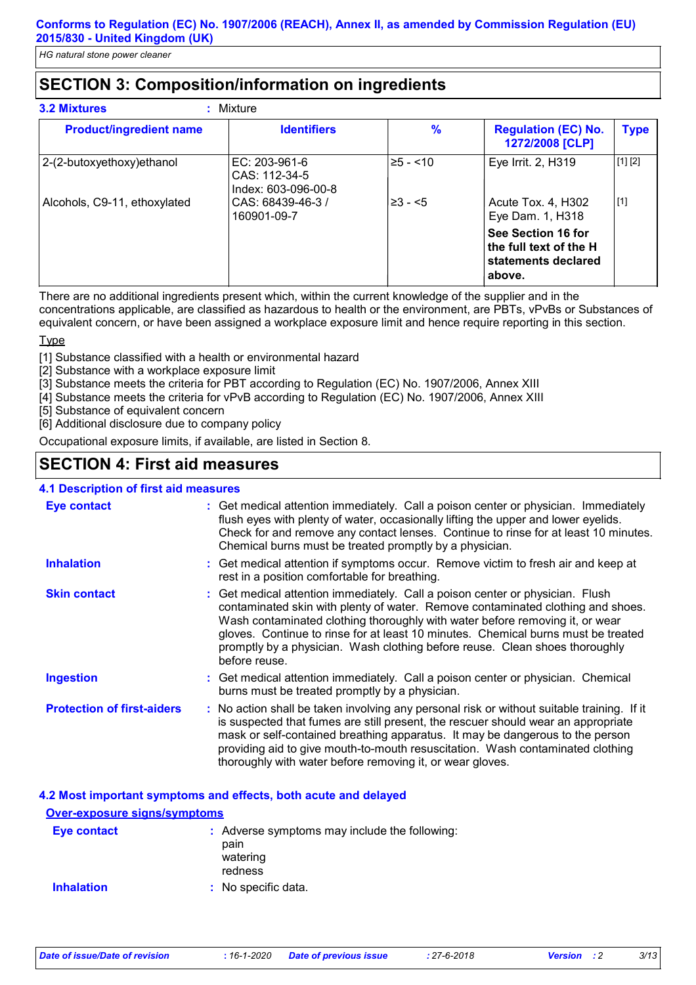# **SECTION 3: Composition/information on ingredients**

| <b>Product/ingredient name</b> | <b>Identifiers</b>                                      | $\frac{9}{6}$ | <b>Regulation (EC) No.</b><br>1272/2008 [CLP]                                 | <b>Type</b> |
|--------------------------------|---------------------------------------------------------|---------------|-------------------------------------------------------------------------------|-------------|
| 2-(2-butoxyethoxy) ethanol     | $EC: 203-961-6$<br>CAS: 112-34-5<br>Index: 603-096-00-8 | $≥5 - < 10$   | Eye Irrit. 2, H319                                                            | [1] [2]     |
| Alcohols, C9-11, ethoxylated   | CAS: 68439-46-3 /<br>160901-09-7                        | $\geq 3 - 5$  | Acute Tox. 4, H302<br>Eye Dam. 1, H318                                        | $[1]$       |
|                                |                                                         |               | See Section 16 for<br>the full text of the H<br>statements declared<br>above. |             |

There are no additional ingredients present which, within the current knowledge of the supplier and in the concentrations applicable, are classified as hazardous to health or the environment, are PBTs, vPvBs or Substances of equivalent concern, or have been assigned a workplace exposure limit and hence require reporting in this section.

#### **T**<sub>vpe</sub>

[1] Substance classified with a health or environmental hazard

[2] Substance with a workplace exposure limit

- [3] Substance meets the criteria for PBT according to Regulation (EC) No. 1907/2006, Annex XIII
- [4] Substance meets the criteria for vPvB according to Regulation (EC) No. 1907/2006, Annex XIII

[5] Substance of equivalent concern

[6] Additional disclosure due to company policy

Occupational exposure limits, if available, are listed in Section 8.

# **SECTION 4: First aid measures**

#### **4.1 Description of first aid measures**

| <b>Eye contact</b>                | : Get medical attention immediately. Call a poison center or physician. Immediately<br>flush eyes with plenty of water, occasionally lifting the upper and lower eyelids.<br>Check for and remove any contact lenses. Continue to rinse for at least 10 minutes.<br>Chemical burns must be treated promptly by a physician.                                                                                                           |
|-----------------------------------|---------------------------------------------------------------------------------------------------------------------------------------------------------------------------------------------------------------------------------------------------------------------------------------------------------------------------------------------------------------------------------------------------------------------------------------|
| <b>Inhalation</b>                 | : Get medical attention if symptoms occur. Remove victim to fresh air and keep at<br>rest in a position comfortable for breathing.                                                                                                                                                                                                                                                                                                    |
| <b>Skin contact</b>               | : Get medical attention immediately. Call a poison center or physician. Flush<br>contaminated skin with plenty of water. Remove contaminated clothing and shoes.<br>Wash contaminated clothing thoroughly with water before removing it, or wear<br>gloves. Continue to rinse for at least 10 minutes. Chemical burns must be treated<br>promptly by a physician. Wash clothing before reuse. Clean shoes thoroughly<br>before reuse. |
| <b>Ingestion</b>                  | : Get medical attention immediately. Call a poison center or physician. Chemical<br>burns must be treated promptly by a physician.                                                                                                                                                                                                                                                                                                    |
| <b>Protection of first-aiders</b> | : No action shall be taken involving any personal risk or without suitable training. If it<br>is suspected that fumes are still present, the rescuer should wear an appropriate<br>mask or self-contained breathing apparatus. It may be dangerous to the person<br>providing aid to give mouth-to-mouth resuscitation. Wash contaminated clothing<br>thoroughly with water before removing it, or wear gloves.                       |

#### **4.2 Most important symptoms and effects, both acute and delayed**

| <b>Over-exposure signs/symptoms</b> |                                                                              |
|-------------------------------------|------------------------------------------------------------------------------|
| <b>Eye contact</b>                  | : Adverse symptoms may include the following:<br>pain<br>watering<br>redness |
| <b>Inhalation</b>                   | : No specific data.                                                          |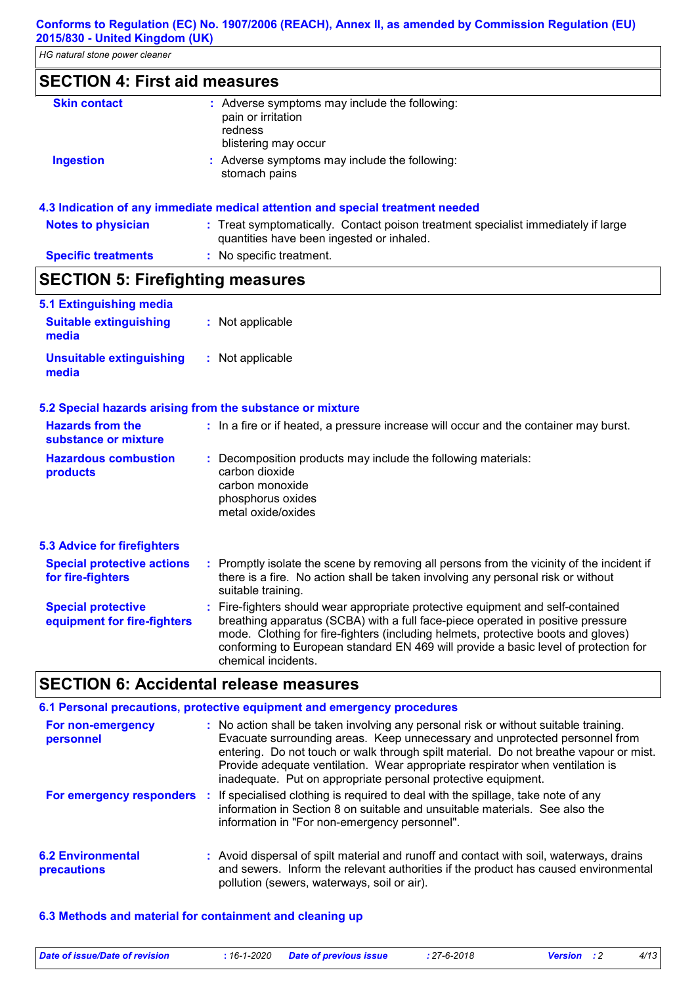# **SECTION 4: First aid measures**

| <b>Skin contact</b> | : Adverse symptoms may include the following:<br>pain or irritation<br>redness<br>blistering may occur |
|---------------------|--------------------------------------------------------------------------------------------------------|
| <b>Ingestion</b>    | : Adverse symptoms may include the following:<br>stomach pains                                         |

#### **4.3 Indication of any immediate medical attention and special treatment needed**

| <b>Notes to physician</b>  | : Treat symptomatically. Contact poison treatment specialist immediately if large |
|----------------------------|-----------------------------------------------------------------------------------|
|                            | quantities have been ingested or inhaled.                                         |
| <b>Specific treatments</b> | : No specific treatment.                                                          |

# **SECTION 5: Firefighting measures**

| 5.1 Extinguishing media<br><b>Suitable extinguishing</b>  | : Not applicable                                                                                                                                                                                                                                                                                                                                                      |
|-----------------------------------------------------------|-----------------------------------------------------------------------------------------------------------------------------------------------------------------------------------------------------------------------------------------------------------------------------------------------------------------------------------------------------------------------|
| media                                                     |                                                                                                                                                                                                                                                                                                                                                                       |
| <b>Unsuitable extinguishing</b><br>media                  | : Not applicable                                                                                                                                                                                                                                                                                                                                                      |
| 5.2 Special hazards arising from the substance or mixture |                                                                                                                                                                                                                                                                                                                                                                       |
| <b>Hazards from the</b><br>substance or mixture           | : In a fire or if heated, a pressure increase will occur and the container may burst.                                                                                                                                                                                                                                                                                 |
| <b>Hazardous combustion</b><br>products                   | : Decomposition products may include the following materials:<br>carbon dioxide<br>carbon monoxide<br>phosphorus oxides<br>metal oxide/oxides                                                                                                                                                                                                                         |
| <b>5.3 Advice for firefighters</b>                        |                                                                                                                                                                                                                                                                                                                                                                       |
| <b>Special protective actions</b><br>for fire-fighters    | : Promptly isolate the scene by removing all persons from the vicinity of the incident if<br>there is a fire. No action shall be taken involving any personal risk or without<br>suitable training.                                                                                                                                                                   |
| <b>Special protective</b><br>equipment for fire-fighters  | : Fire-fighters should wear appropriate protective equipment and self-contained<br>breathing apparatus (SCBA) with a full face-piece operated in positive pressure<br>mode. Clothing for fire-fighters (including helmets, protective boots and gloves)<br>conforming to European standard EN 469 will provide a basic level of protection for<br>chemical incidents. |

# **SECTION 6: Accidental release measures**

| 6.1 Personal precautions, protective equipment and emergency procedures |  |                                                                                                                                                                                                                                                                                                                                                                                                                |  |  |
|-------------------------------------------------------------------------|--|----------------------------------------------------------------------------------------------------------------------------------------------------------------------------------------------------------------------------------------------------------------------------------------------------------------------------------------------------------------------------------------------------------------|--|--|
| For non-emergency<br>personnel                                          |  | : No action shall be taken involving any personal risk or without suitable training.<br>Evacuate surrounding areas. Keep unnecessary and unprotected personnel from<br>entering. Do not touch or walk through spilt material. Do not breathe vapour or mist.<br>Provide adequate ventilation. Wear appropriate respirator when ventilation is<br>inadequate. Put on appropriate personal protective equipment. |  |  |
|                                                                         |  | For emergency responders : If specialised clothing is required to deal with the spillage, take note of any<br>information in Section 8 on suitable and unsuitable materials. See also the<br>information in "For non-emergency personnel".                                                                                                                                                                     |  |  |
| <b>6.2 Environmental</b><br>precautions                                 |  | : Avoid dispersal of spilt material and runoff and contact with soil, waterways, drains<br>and sewers. Inform the relevant authorities if the product has caused environmental<br>pollution (sewers, waterways, soil or air).                                                                                                                                                                                  |  |  |

#### **6.3 Methods and material for containment and cleaning up**

| Date of issue/Date of revision | : 16-1-2020 Date of previous issue | : 27-6-2018 | <b>Version</b> : 2 | 4/13 |
|--------------------------------|------------------------------------|-------------|--------------------|------|
|                                |                                    |             |                    |      |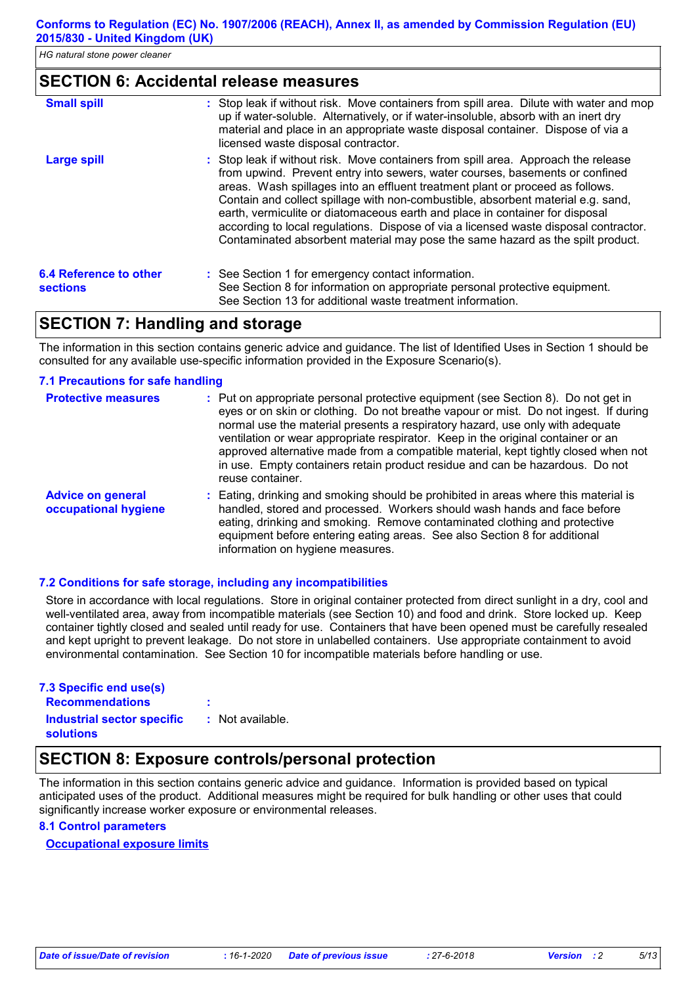#### **SECTION 6: Accidental release measures**

| <b>Small spill</b>                               | : Stop leak if without risk. Move containers from spill area. Dilute with water and mop<br>up if water-soluble. Alternatively, or if water-insoluble, absorb with an inert dry<br>material and place in an appropriate waste disposal container. Dispose of via a<br>licensed waste disposal contractor.                                                                                                                                                                                                                                                                                          |
|--------------------------------------------------|---------------------------------------------------------------------------------------------------------------------------------------------------------------------------------------------------------------------------------------------------------------------------------------------------------------------------------------------------------------------------------------------------------------------------------------------------------------------------------------------------------------------------------------------------------------------------------------------------|
| <b>Large spill</b>                               | : Stop leak if without risk. Move containers from spill area. Approach the release<br>from upwind. Prevent entry into sewers, water courses, basements or confined<br>areas. Wash spillages into an effluent treatment plant or proceed as follows.<br>Contain and collect spillage with non-combustible, absorbent material e.g. sand,<br>earth, vermiculite or diatomaceous earth and place in container for disposal<br>according to local regulations. Dispose of via a licensed waste disposal contractor.<br>Contaminated absorbent material may pose the same hazard as the spilt product. |
| <b>6.4 Reference to other</b><br><b>sections</b> | : See Section 1 for emergency contact information.<br>See Section 8 for information on appropriate personal protective equipment.<br>See Section 13 for additional waste treatment information.                                                                                                                                                                                                                                                                                                                                                                                                   |

### **SECTION 7: Handling and storage**

The information in this section contains generic advice and guidance. The list of Identified Uses in Section 1 should be consulted for any available use-specific information provided in the Exposure Scenario(s).

#### **7.1 Precautions for safe handling**

| <b>Protective measures</b>                       | : Put on appropriate personal protective equipment (see Section 8). Do not get in<br>eyes or on skin or clothing. Do not breathe vapour or mist. Do not ingest. If during<br>normal use the material presents a respiratory hazard, use only with adequate<br>ventilation or wear appropriate respirator. Keep in the original container or an<br>approved alternative made from a compatible material, kept tightly closed when not<br>in use. Empty containers retain product residue and can be hazardous. Do not<br>reuse container. |
|--------------------------------------------------|------------------------------------------------------------------------------------------------------------------------------------------------------------------------------------------------------------------------------------------------------------------------------------------------------------------------------------------------------------------------------------------------------------------------------------------------------------------------------------------------------------------------------------------|
| <b>Advice on general</b><br>occupational hygiene | : Eating, drinking and smoking should be prohibited in areas where this material is<br>handled, stored and processed. Workers should wash hands and face before<br>eating, drinking and smoking. Remove contaminated clothing and protective<br>equipment before entering eating areas. See also Section 8 for additional<br>information on hygiene measures.                                                                                                                                                                            |

#### **7.2 Conditions for safe storage, including any incompatibilities**

Store in accordance with local regulations. Store in original container protected from direct sunlight in a dry, cool and well-ventilated area, away from incompatible materials (see Section 10) and food and drink. Store locked up. Keep container tightly closed and sealed until ready for use. Containers that have been opened must be carefully resealed and kept upright to prevent leakage. Do not store in unlabelled containers. Use appropriate containment to avoid environmental contamination. See Section 10 for incompatible materials before handling or use.

| 7.3 Specific end use(s)                        |                  |
|------------------------------------------------|------------------|
| <b>Recommendations</b>                         | ٠<br>٠           |
| Industrial sector specific<br><b>solutions</b> | : Not available. |

### **SECTION 8: Exposure controls/personal protection**

The information in this section contains generic advice and guidance. Information is provided based on typical anticipated uses of the product. Additional measures might be required for bulk handling or other uses that could significantly increase worker exposure or environmental releases.

#### **8.1 Control parameters**

#### **Occupational exposure limits**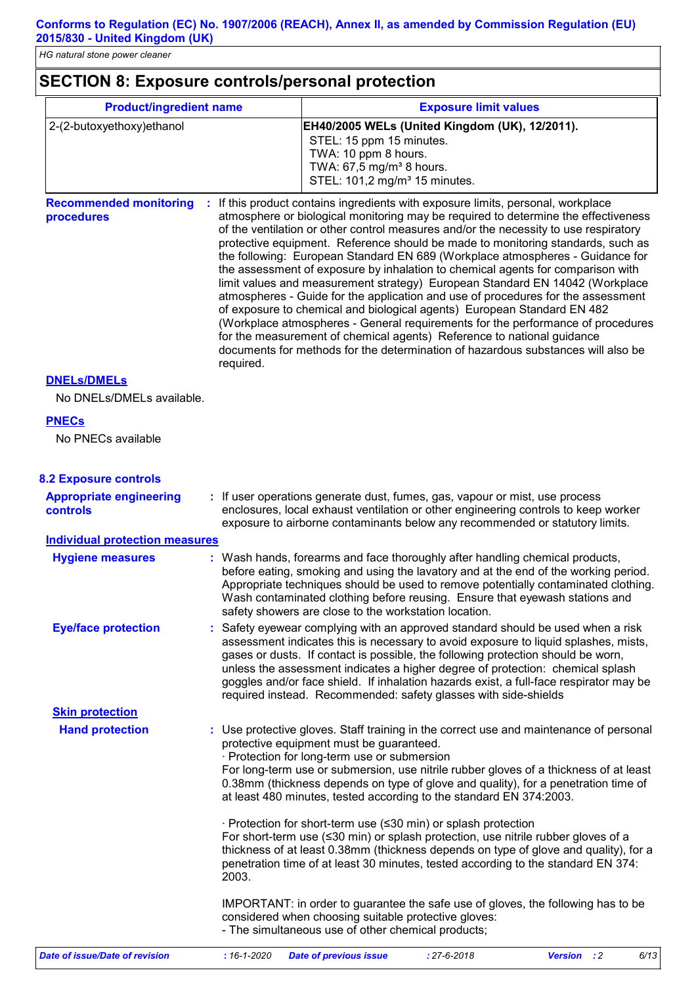# **SECTION 8: Exposure controls/personal protection**

| <b>Product/ingredient name</b>                    |           | <b>Exposure limit values</b>                                                                                                                                                                                                                                                                                                                                                                                                                                                                                                                                                                                                                                                                                                                                                                                                                                                                                                                                                                                          |
|---------------------------------------------------|-----------|-----------------------------------------------------------------------------------------------------------------------------------------------------------------------------------------------------------------------------------------------------------------------------------------------------------------------------------------------------------------------------------------------------------------------------------------------------------------------------------------------------------------------------------------------------------------------------------------------------------------------------------------------------------------------------------------------------------------------------------------------------------------------------------------------------------------------------------------------------------------------------------------------------------------------------------------------------------------------------------------------------------------------|
| 2-(2-butoxyethoxy)ethanol                         |           | EH40/2005 WELs (United Kingdom (UK), 12/2011).<br>STEL: 15 ppm 15 minutes.<br>TWA: 10 ppm 8 hours.<br>TWA: 67,5 mg/m <sup>3</sup> 8 hours.<br>STEL: 101,2 mg/m <sup>3</sup> 15 minutes.                                                                                                                                                                                                                                                                                                                                                                                                                                                                                                                                                                                                                                                                                                                                                                                                                               |
| <b>Recommended monitoring</b><br>procedures       | required. | : If this product contains ingredients with exposure limits, personal, workplace<br>atmosphere or biological monitoring may be required to determine the effectiveness<br>of the ventilation or other control measures and/or the necessity to use respiratory<br>protective equipment. Reference should be made to monitoring standards, such as<br>the following: European Standard EN 689 (Workplace atmospheres - Guidance for<br>the assessment of exposure by inhalation to chemical agents for comparison with<br>limit values and measurement strategy) European Standard EN 14042 (Workplace<br>atmospheres - Guide for the application and use of procedures for the assessment<br>of exposure to chemical and biological agents) European Standard EN 482<br>(Workplace atmospheres - General requirements for the performance of procedures<br>for the measurement of chemical agents) Reference to national guidance<br>documents for methods for the determination of hazardous substances will also be |
| <b>DNELS/DMELS</b>                                |           |                                                                                                                                                                                                                                                                                                                                                                                                                                                                                                                                                                                                                                                                                                                                                                                                                                                                                                                                                                                                                       |
| No DNELs/DMELs available.                         |           |                                                                                                                                                                                                                                                                                                                                                                                                                                                                                                                                                                                                                                                                                                                                                                                                                                                                                                                                                                                                                       |
| <b>PNECs</b><br>No PNECs available                |           |                                                                                                                                                                                                                                                                                                                                                                                                                                                                                                                                                                                                                                                                                                                                                                                                                                                                                                                                                                                                                       |
| <b>8.2 Exposure controls</b>                      |           |                                                                                                                                                                                                                                                                                                                                                                                                                                                                                                                                                                                                                                                                                                                                                                                                                                                                                                                                                                                                                       |
| <b>Appropriate engineering</b><br><b>controls</b> |           | : If user operations generate dust, fumes, gas, vapour or mist, use process<br>enclosures, local exhaust ventilation or other engineering controls to keep worker<br>exposure to airborne contaminants below any recommended or statutory limits.                                                                                                                                                                                                                                                                                                                                                                                                                                                                                                                                                                                                                                                                                                                                                                     |
| <b>Individual protection measures</b>             |           |                                                                                                                                                                                                                                                                                                                                                                                                                                                                                                                                                                                                                                                                                                                                                                                                                                                                                                                                                                                                                       |
| <b>Hygiene measures</b>                           |           | : Wash hands, forearms and face thoroughly after handling chemical products,<br>before eating, smoking and using the lavatory and at the end of the working period.<br>Appropriate techniques should be used to remove potentially contaminated clothing.<br>Wash contaminated clothing before reusing. Ensure that eyewash stations and<br>safety showers are close to the workstation location.                                                                                                                                                                                                                                                                                                                                                                                                                                                                                                                                                                                                                     |
| <b>Eye/face protection</b>                        |           | Safety eyewear complying with an approved standard should be used when a risk<br>assessment indicates this is necessary to avoid exposure to liquid splashes, mists,<br>gases or dusts. If contact is possible, the following protection should be worn,<br>unless the assessment indicates a higher degree of protection: chemical splash<br>goggles and/or face shield. If inhalation hazards exist, a full-face respirator may be<br>required instead. Recommended: safety glasses with side-shields                                                                                                                                                                                                                                                                                                                                                                                                                                                                                                               |
| <b>Skin protection</b>                            |           |                                                                                                                                                                                                                                                                                                                                                                                                                                                                                                                                                                                                                                                                                                                                                                                                                                                                                                                                                                                                                       |
| <b>Hand protection</b>                            |           | Use protective gloves. Staff training in the correct use and maintenance of personal<br>protective equipment must be guaranteed.<br>· Protection for long-term use or submersion<br>For long-term use or submersion, use nitrile rubber gloves of a thickness of at least<br>0.38mm (thickness depends on type of glove and quality), for a penetration time of<br>at least 480 minutes, tested according to the standard EN 374:2003.                                                                                                                                                                                                                                                                                                                                                                                                                                                                                                                                                                                |
|                                                   | 2003.     | · Protection for short-term use (≤30 min) or splash protection<br>For short-term use $(≤30$ min) or splash protection, use nitrile rubber gloves of a<br>thickness of at least 0.38mm (thickness depends on type of glove and quality), for a<br>penetration time of at least 30 minutes, tested according to the standard EN 374:                                                                                                                                                                                                                                                                                                                                                                                                                                                                                                                                                                                                                                                                                    |
|                                                   |           | IMPORTANT: in order to guarantee the safe use of gloves, the following has to be<br>considered when choosing suitable protective gloves:<br>- The simultaneous use of other chemical products;                                                                                                                                                                                                                                                                                                                                                                                                                                                                                                                                                                                                                                                                                                                                                                                                                        |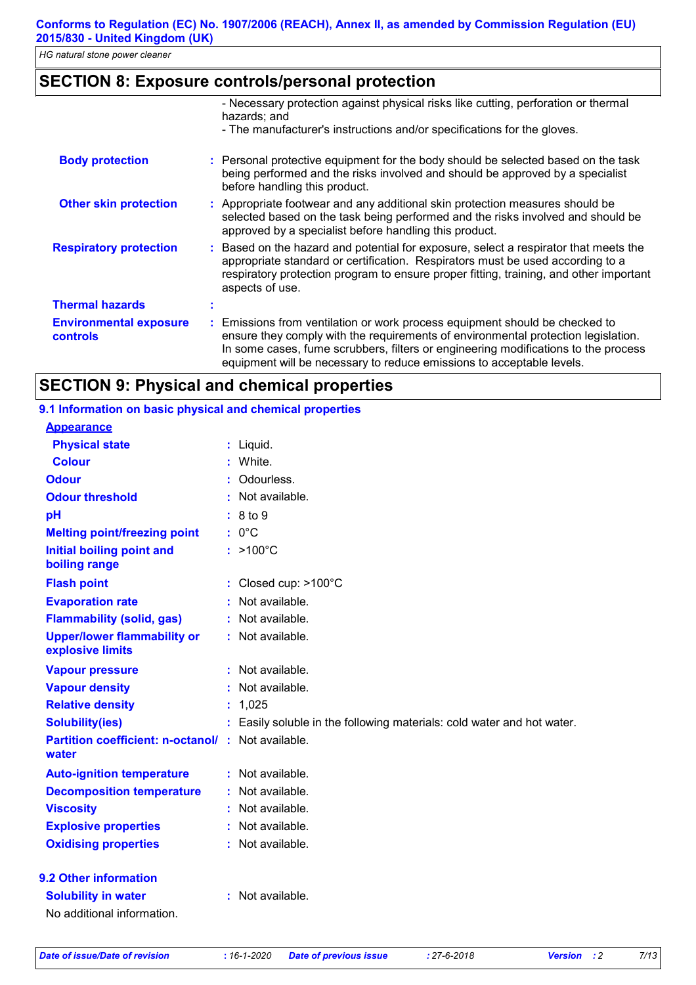# **SECTION 8: Exposure controls/personal protection**

|                                                  | - Necessary protection against physical risks like cutting, perforation or thermal<br>hazards; and                                                                                                                                                                                                                              |
|--------------------------------------------------|---------------------------------------------------------------------------------------------------------------------------------------------------------------------------------------------------------------------------------------------------------------------------------------------------------------------------------|
|                                                  | - The manufacturer's instructions and/or specifications for the gloves.                                                                                                                                                                                                                                                         |
| <b>Body protection</b>                           | : Personal protective equipment for the body should be selected based on the task<br>being performed and the risks involved and should be approved by a specialist<br>before handling this product.                                                                                                                             |
| <b>Other skin protection</b>                     | : Appropriate footwear and any additional skin protection measures should be<br>selected based on the task being performed and the risks involved and should be<br>approved by a specialist before handling this product.                                                                                                       |
| <b>Respiratory protection</b>                    | Based on the hazard and potential for exposure, select a respirator that meets the<br>appropriate standard or certification. Respirators must be used according to a<br>respiratory protection program to ensure proper fitting, training, and other important<br>aspects of use.                                               |
| <b>Thermal hazards</b>                           |                                                                                                                                                                                                                                                                                                                                 |
| <b>Environmental exposure</b><br><b>controls</b> | : Emissions from ventilation or work process equipment should be checked to<br>ensure they comply with the requirements of environmental protection legislation.<br>In some cases, fume scrubbers, filters or engineering modifications to the process<br>equipment will be necessary to reduce emissions to acceptable levels. |

# **SECTION 9: Physical and chemical properties**

#### **9.1 Information on basic physical and chemical properties**

| <b>Appearance</b>                                      |    |                                                                      |
|--------------------------------------------------------|----|----------------------------------------------------------------------|
| <b>Physical state</b>                                  |    | : Liquid.                                                            |
| <b>Colour</b>                                          |    | White.                                                               |
| <b>Odour</b>                                           |    | Odourless.                                                           |
| <b>Odour threshold</b>                                 |    | Not available.                                                       |
| pH                                                     |    | 8 to 9                                                               |
| <b>Melting point/freezing point</b>                    |    | $: 0^{\circ}C$                                                       |
| <b>Initial boiling point and</b><br>boiling range      |    | $:$ >100 $^{\circ}$ C                                                |
| <b>Flash point</b>                                     |    | Closed cup: >100°C                                                   |
| <b>Evaporation rate</b>                                |    | Not available.                                                       |
| <b>Flammability (solid, gas)</b>                       |    | : Not available.                                                     |
| <b>Upper/lower flammability or</b><br>explosive limits |    | : Not available.                                                     |
| <b>Vapour pressure</b>                                 |    | : Not available.                                                     |
| <b>Vapour density</b>                                  |    | Not available.                                                       |
| <b>Relative density</b>                                | t. | 1,025                                                                |
| <b>Solubility(ies)</b>                                 |    | Easily soluble in the following materials: cold water and hot water. |
| <b>Partition coefficient: n-octanol/:</b><br>water     |    | Not available.                                                       |
| <b>Auto-ignition temperature</b>                       |    | : Not available.                                                     |
| <b>Decomposition temperature</b>                       |    | Not available.                                                       |
| <b>Viscosity</b>                                       |    | : Not available.                                                     |
| <b>Explosive properties</b>                            |    | Not available.                                                       |
| <b>Oxidising properties</b>                            |    | Not available.                                                       |
| 9.2 Other information                                  |    |                                                                      |
| <b>Solubility in water</b>                             | t. | Not available.                                                       |
| No additional information.                             |    |                                                                      |

*Date of issue/Date of revision* **:** *16-1-2020 Date of previous issue : 27-6-2018 Version : 2 7/13*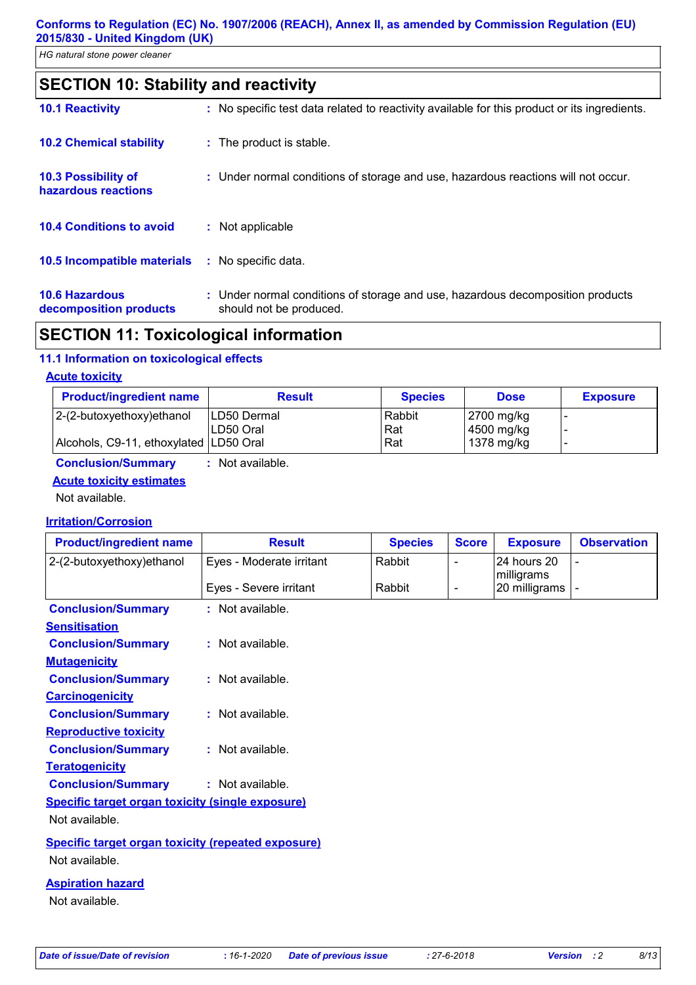| SECTION 10: Stability and reactivity |  |
|--------------------------------------|--|
|--------------------------------------|--|

| <b>10.1 Reactivity</b>                          | : No specific test data related to reactivity available for this product or its ingredients.              |
|-------------------------------------------------|-----------------------------------------------------------------------------------------------------------|
| <b>10.2 Chemical stability</b>                  | : The product is stable.                                                                                  |
| 10.3 Possibility of<br>hazardous reactions      | : Under normal conditions of storage and use, hazardous reactions will not occur.                         |
| <b>10.4 Conditions to avoid</b>                 | : Not applicable                                                                                          |
| <b>10.5 Incompatible materials</b>              | : No specific data.                                                                                       |
| <b>10.6 Hazardous</b><br>decomposition products | : Under normal conditions of storage and use, hazardous decomposition products<br>should not be produced. |

# **SECTION 11: Toxicological information**

#### **11.1 Information on toxicological effects**

#### **Acute toxicity**

| <b>Product/ingredient name</b>         | <b>Result</b> | <b>Species</b> | <b>Dose</b> | <b>Exposure</b> |
|----------------------------------------|---------------|----------------|-------------|-----------------|
| 2-(2-butoxyethoxy)ethanol              | ILD50 Dermal  | Rabbit         | 2700 mg/kg  |                 |
|                                        | ILD50 Oral    | Rat            | 4500 mg/kg  |                 |
| Alcohols, C9-11, ethoxylated LD50 Oral |               | Rat            | 1378 mg/kg  |                 |

**Conclusion/Summary :** Not available.

#### **Acute toxicity estimates**

Not available.

### **Irritation/Corrosion**

| <b>Product/ingredient name</b>                            | <b>Result</b>            | <b>Species</b> | <b>Score</b> | <b>Exposure</b>           | <b>Observation</b> |
|-----------------------------------------------------------|--------------------------|----------------|--------------|---------------------------|--------------------|
| 2-(2-butoxyethoxy) ethanol                                | Eyes - Moderate irritant | Rabbit         |              | 24 hours 20<br>milligrams |                    |
|                                                           | Eyes - Severe irritant   | Rabbit         |              | 20 milligrams             |                    |
| <b>Conclusion/Summary</b>                                 | $:$ Not available.       |                |              |                           |                    |
| <b>Sensitisation</b>                                      |                          |                |              |                           |                    |
| <b>Conclusion/Summary</b>                                 | : Not available.         |                |              |                           |                    |
| <b>Mutagenicity</b>                                       |                          |                |              |                           |                    |
| <b>Conclusion/Summary</b>                                 | : Not available.         |                |              |                           |                    |
| <b>Carcinogenicity</b>                                    |                          |                |              |                           |                    |
| <b>Conclusion/Summary</b>                                 | : Not available.         |                |              |                           |                    |
| <b>Reproductive toxicity</b>                              |                          |                |              |                           |                    |
| <b>Conclusion/Summary</b>                                 | : Not available.         |                |              |                           |                    |
| <b>Teratogenicity</b>                                     |                          |                |              |                           |                    |
| <b>Conclusion/Summary</b>                                 | : Not available.         |                |              |                           |                    |
| Specific target organ toxicity (single exposure)          |                          |                |              |                           |                    |
| Not available.                                            |                          |                |              |                           |                    |
| <b>Specific target organ toxicity (repeated exposure)</b> |                          |                |              |                           |                    |
| Not available.                                            |                          |                |              |                           |                    |

#### **Aspiration hazard**

Not available.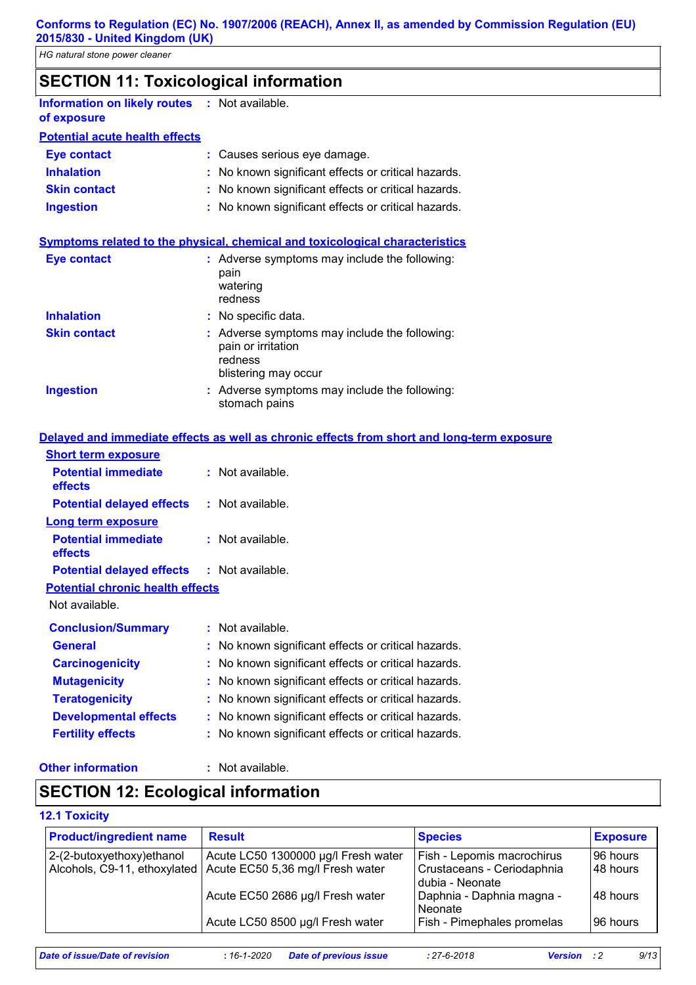# **SECTION 11: Toxicological information**

**Information on likely routes : Not available. of exposure**

# **Potential acute health effects**

| Eye contact         | : Causes serious eye damage.                        |
|---------------------|-----------------------------------------------------|
| <b>Inhalation</b>   | : No known significant effects or critical hazards. |
| <b>Skin contact</b> | : No known significant effects or critical hazards. |
| <b>Ingestion</b>    | : No known significant effects or critical hazards. |

#### **Symptoms related to the physical, chemical and toxicological characteristics**

| <b>Eye contact</b>  | : Adverse symptoms may include the following:<br>pain<br>watering<br>redness                           |
|---------------------|--------------------------------------------------------------------------------------------------------|
| <b>Inhalation</b>   | : No specific data.                                                                                    |
| <b>Skin contact</b> | : Adverse symptoms may include the following:<br>pain or irritation<br>redness<br>blistering may occur |
| <b>Ingestion</b>    | : Adverse symptoms may include the following:<br>stomach pains                                         |

#### **Delayed and immediate effects as well as chronic effects from short and long-term exposure**

| <b>Short term exposure</b>                        |                                                     |
|---------------------------------------------------|-----------------------------------------------------|
| <b>Potential immediate</b><br>effects             | : Not available.                                    |
| <b>Potential delayed effects</b>                  | $:$ Not available.                                  |
| Long term exposure                                |                                                     |
| <b>Potential immediate</b><br>effects             | : Not available.                                    |
| <b>Potential delayed effects : Not available.</b> |                                                     |
| <b>Potential chronic health effects</b>           |                                                     |
| Not available.                                    |                                                     |
| <b>Conclusion/Summary</b>                         | : Not available.                                    |
| <b>General</b>                                    | No known significant effects or critical hazards.   |
| <b>Carcinogenicity</b>                            | : No known significant effects or critical hazards. |
| <b>Mutagenicity</b>                               | No known significant effects or critical hazards.   |
| <b>Teratogenicity</b>                             | No known significant effects or critical hazards.   |
| <b>Developmental effects</b>                      | No known significant effects or critical hazards.   |
| <b>Fertility effects</b>                          | No known significant effects or critical hazards.   |
|                                                   |                                                     |

#### **Other information :**

: Not available.

# **SECTION 12: Ecological information**

#### **12.1 Toxicity**

| <b>Product/ingredient name</b> | <b>Result</b>                       | <b>Species</b>             | <b>Exposure</b> |
|--------------------------------|-------------------------------------|----------------------------|-----------------|
| 2-(2-butoxyethoxy) ethanol     | Acute LC50 1300000 µg/l Fresh water | Fish - Lepomis macrochirus | 96 hours        |
| Alcohols, C9-11, ethoxylated   | Acute EC50 5,36 mg/l Fresh water    | Crustaceans - Ceriodaphnia | l48 hours       |
|                                |                                     | dubia - Neonate            |                 |
|                                | Acute EC50 2686 µg/l Fresh water    | Daphnia - Daphnia magna -  | l48 hours       |
|                                |                                     | Neonate                    |                 |
|                                | Acute LC50 8500 µg/l Fresh water    | Fish - Pimephales promelas | 196 hours       |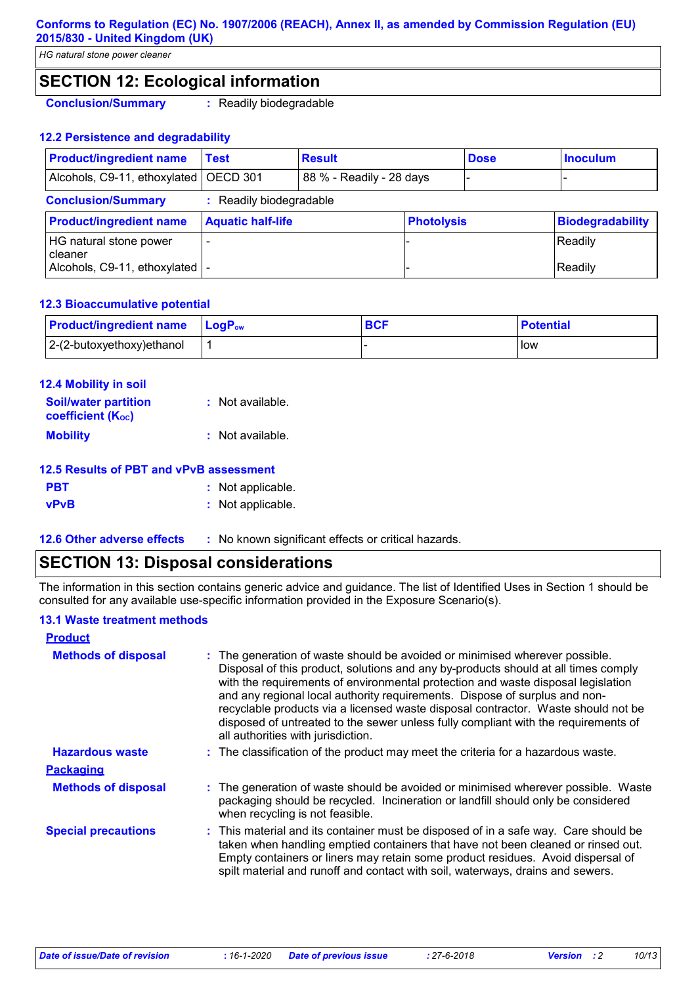#### **Conforms to Regulation (EC) No. 1907/2006 (REACH), Annex II, as amended by Commission Regulation (EU) 2015/830 - United Kingdom (UK)**

*HG natural stone power cleaner*

# **SECTION 12: Ecological information**

**Conclusion/Summary :** Readily biodegradable

#### **12.2 Persistence and degradability**

| <b>Product/ingredient name</b>      | Test                     | <b>Result</b>            |                   | <b>Dose</b> | <b>Inoculum</b>         |
|-------------------------------------|--------------------------|--------------------------|-------------------|-------------|-------------------------|
| Alcohols, C9-11, ethoxylated        | OECD 301                 | 88 % - Readily - 28 days |                   |             |                         |
| <b>Conclusion/Summary</b>           | : Readily biodegradable  |                          |                   |             |                         |
| <b>Product/ingredient name</b>      | <b>Aquatic half-life</b> |                          | <b>Photolysis</b> |             | <b>Biodegradability</b> |
| HG natural stone power<br>I cleaner |                          |                          |                   |             | Readily                 |
| Alcohols, C9-11, ethoxylated        |                          |                          |                   |             | Readily                 |

#### **12.3 Bioaccumulative potential**

| <b>Product/ingredient name</b> | <b>LogP</b> <sub>ow</sub> | <b>BCF</b> | <b>Potential</b> |
|--------------------------------|---------------------------|------------|------------------|
| $ 2-(2-butoxyethoxy)$ ethanol  |                           |            | low              |

| 12.4 Mobility in soil                                   |                  |
|---------------------------------------------------------|------------------|
| <b>Soil/water partition</b><br><b>coefficient (Koc)</b> | : Not available. |
| <b>Mobility</b>                                         | : Not available. |

#### **12.5 Results of PBT and vPvB assessment**

| <b>PBT</b>  | : Not applicable. |  |
|-------------|-------------------|--|
| <b>vPvB</b> | : Not applicable. |  |

**12.6 Other adverse effects** : No known significant effects or critical hazards.

### **SECTION 13: Disposal considerations**

The information in this section contains generic advice and guidance. The list of Identified Uses in Section 1 should be consulted for any available use-specific information provided in the Exposure Scenario(s).

#### **13.1 Waste treatment methods**

| <b>Product</b>             |                                                                                                                                                                                                                                                                                                                                                                                                                                                                                                                                                      |
|----------------------------|------------------------------------------------------------------------------------------------------------------------------------------------------------------------------------------------------------------------------------------------------------------------------------------------------------------------------------------------------------------------------------------------------------------------------------------------------------------------------------------------------------------------------------------------------|
| <b>Methods of disposal</b> | : The generation of waste should be avoided or minimised wherever possible.<br>Disposal of this product, solutions and any by-products should at all times comply<br>with the requirements of environmental protection and waste disposal legislation<br>and any regional local authority requirements. Dispose of surplus and non-<br>recyclable products via a licensed waste disposal contractor. Waste should not be<br>disposed of untreated to the sewer unless fully compliant with the requirements of<br>all authorities with jurisdiction. |
| <b>Hazardous waste</b>     | : The classification of the product may meet the criteria for a hazardous waste.                                                                                                                                                                                                                                                                                                                                                                                                                                                                     |
| <b>Packaging</b>           |                                                                                                                                                                                                                                                                                                                                                                                                                                                                                                                                                      |
| <b>Methods of disposal</b> | : The generation of waste should be avoided or minimised wherever possible. Waste<br>packaging should be recycled. Incineration or landfill should only be considered<br>when recycling is not feasible.                                                                                                                                                                                                                                                                                                                                             |
| <b>Special precautions</b> | : This material and its container must be disposed of in a safe way. Care should be<br>taken when handling emptied containers that have not been cleaned or rinsed out.<br>Empty containers or liners may retain some product residues. Avoid dispersal of<br>spilt material and runoff and contact with soil, waterways, drains and sewers.                                                                                                                                                                                                         |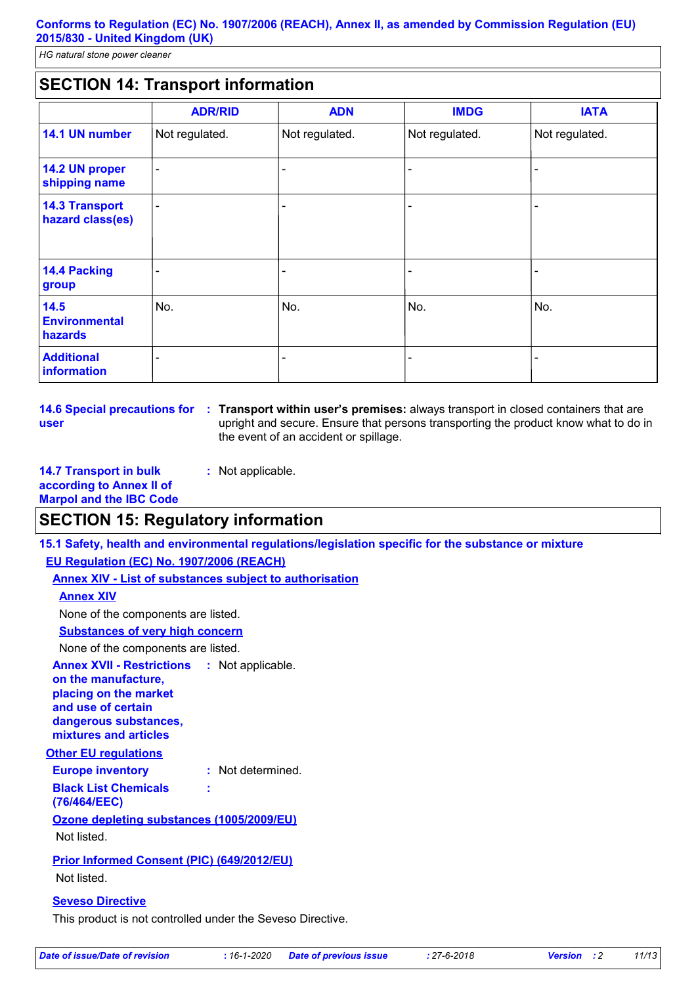# **SECTION 14: Transport information**

|                                           | <b>ADR/RID</b>           | <b>ADN</b>     | <b>IMDG</b>    | <b>IATA</b>              |
|-------------------------------------------|--------------------------|----------------|----------------|--------------------------|
| 14.1 UN number                            | Not regulated.           | Not regulated. | Not regulated. | Not regulated.           |
| 14.2 UN proper<br>shipping name           | $\overline{\phantom{a}}$ |                |                |                          |
| <b>14.3 Transport</b><br>hazard class(es) | $\blacksquare$           |                |                | $\overline{\phantom{0}}$ |
| 14.4 Packing<br>group                     |                          |                |                |                          |
| 14.5<br><b>Environmental</b><br>hazards   | No.                      | No.            | No.            | No.                      |
| <b>Additional</b><br>information          |                          |                |                |                          |

**14.6 Special precautions for : Transport within user's premises: always transport in closed containers that are user** upright and secure. Ensure that persons transporting the product know what to do in the event of an accident or spillage.

**14.7 Transport in bulk according to Annex II of Marpol and the IBC Code :** Not applicable.

### **SECTION 15: Regulatory information**

**15.1 Safety, health and environmental regulations/legislation specific for the substance or mixture**

**EU Regulation (EC) No. 1907/2006 (REACH)**

**Annex XIV - List of substances subject to authorisation**

**Annex XIV**

None of the components are listed.

**Substances of very high concern**

None of the components are listed.

**Other EU regulations Annex XVII - Restrictions on the manufacture, placing on the market and use of certain dangerous substances, mixtures and articles** : Not applicable.

#### **Europe inventory :** Not determined. **Black List Chemicals :**

**(76/464/EEC)**

**Ozone depleting substances (1005/2009/EU)**

Not listed.

**Prior Informed Consent (PIC) (649/2012/EU)** Not listed.

#### **Seveso Directive**

This product is not controlled under the Seveso Directive.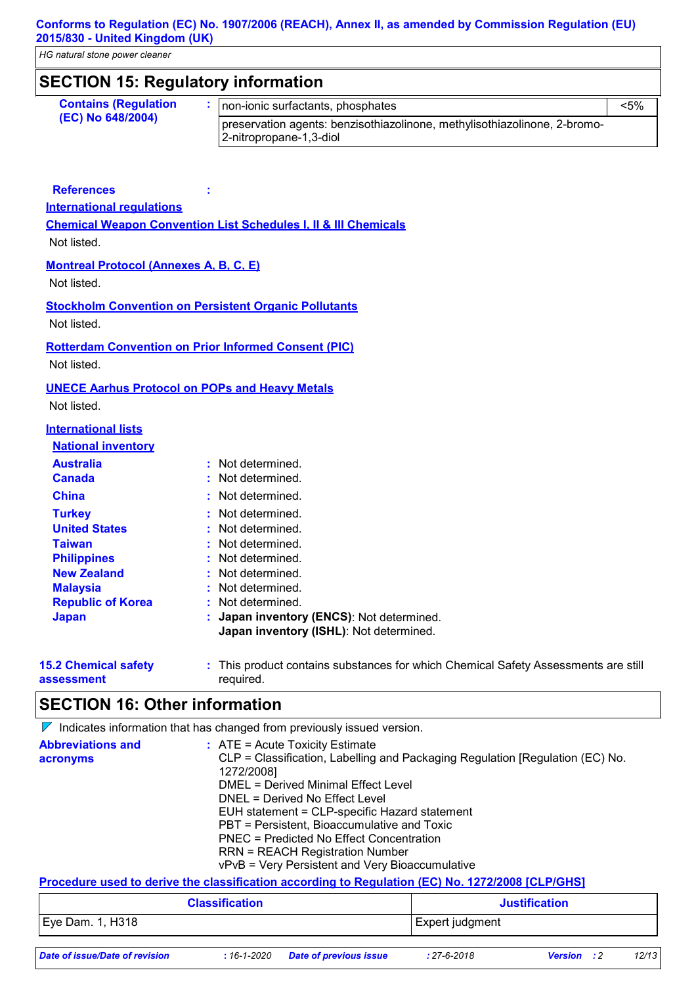#### **Conforms to Regulation (EC) No. 1907/2006 (REACH), Annex II, as amended by Commission Regulation (EU) 2015/830 - United Kingdom (UK)**

*HG natural stone power cleaner*

# **SECTION 15: Regulatory information**

| <b>Contains (Regulation</b><br>(EC) No 648/2004) | non-ionic surfactants, phosphates                                                                    | $< 5\%$ |
|--------------------------------------------------|------------------------------------------------------------------------------------------------------|---------|
|                                                  | preservation agents: benzisothiazolinone, methylisothiazolinone, 2-bromo-<br>2-nitropropane-1,3-diol |         |

**References :**

**International regulations**

**Chemical Weapon Convention List Schedules I, II & III Chemicals**

Not listed.

#### **Montreal Protocol (Annexes A, B, C, E)**

Not listed.

**Stockholm Convention on Persistent Organic Pollutants** Not listed.

# **Rotterdam Convention on Prior Informed Consent (PIC)**

Not listed.

#### **UNECE Aarhus Protocol on POPs and Heavy Metals**

Not listed.

| <b>International lists</b> |                                                                                      |
|----------------------------|--------------------------------------------------------------------------------------|
| <b>National inventory</b>  |                                                                                      |
| <b>Australia</b>           | : Not determined.                                                                    |
| <b>Canada</b>              | : Not determined.                                                                    |
| <b>China</b>               | : Not determined.                                                                    |
| <b>Turkey</b>              | : Not determined.                                                                    |
| <b>United States</b>       | : Not determined.                                                                    |
| <b>Taiwan</b>              | : Not determined.                                                                    |
| <b>Philippines</b>         | : Not determined.                                                                    |
| <b>New Zealand</b>         | : Not determined.                                                                    |
| <b>Malaysia</b>            | : Not determined.                                                                    |
| <b>Republic of Korea</b>   | : Not determined.                                                                    |
| <b>Japan</b>               | : Japan inventory (ENCS): Not determined.<br>Japan inventory (ISHL): Not determined. |

| <b>15.2 Chemical safety</b> | This product contains substances for which Chemical Safety Assessments are still |
|-----------------------------|----------------------------------------------------------------------------------|
| assessment                  | required.                                                                        |

### **SECTION 16: Other information**

 $\nabla$  Indicates information that has changed from previously issued version.

| <b>Abbreviations and</b> | $:$ ATE = Acute Toxicity Estimate                                                                       |                                                                               |  |
|--------------------------|---------------------------------------------------------------------------------------------------------|-------------------------------------------------------------------------------|--|
| acronyms                 |                                                                                                         | CLP = Classification, Labelling and Packaging Regulation [Regulation (EC) No. |  |
|                          | 1272/2008]                                                                                              |                                                                               |  |
|                          | DMEL = Derived Minimal Effect Level                                                                     |                                                                               |  |
|                          | DNEL = Derived No Effect Level                                                                          |                                                                               |  |
|                          | EUH statement = CLP-specific Hazard statement                                                           |                                                                               |  |
|                          | PBT = Persistent, Bioaccumulative and Toxic                                                             |                                                                               |  |
|                          | PNEC = Predicted No Effect Concentration                                                                |                                                                               |  |
|                          | <b>RRN = REACH Registration Number</b>                                                                  |                                                                               |  |
|                          | vPvB = Very Persistent and Very Bioaccumulative                                                         |                                                                               |  |
|                          | <u>Procedure used to derive the classification according to Regulation (EC) No. 1272/2008 [CLP/GHS]</u> |                                                                               |  |
|                          | Claesification                                                                                          | <b>Iuctification</b>                                                          |  |

| <b>Classification</b>          |             |                               | <b>Justification</b> |                      |       |
|--------------------------------|-------------|-------------------------------|----------------------|----------------------|-------|
| Eye Dam. 1, H318               |             |                               | Expert judgment      |                      |       |
| Date of issue/Date of revision | : 16-1-2020 | <b>Date of previous issue</b> | $: 27 - 6 - 2018$    | <b>Version</b><br>:2 | 12/13 |